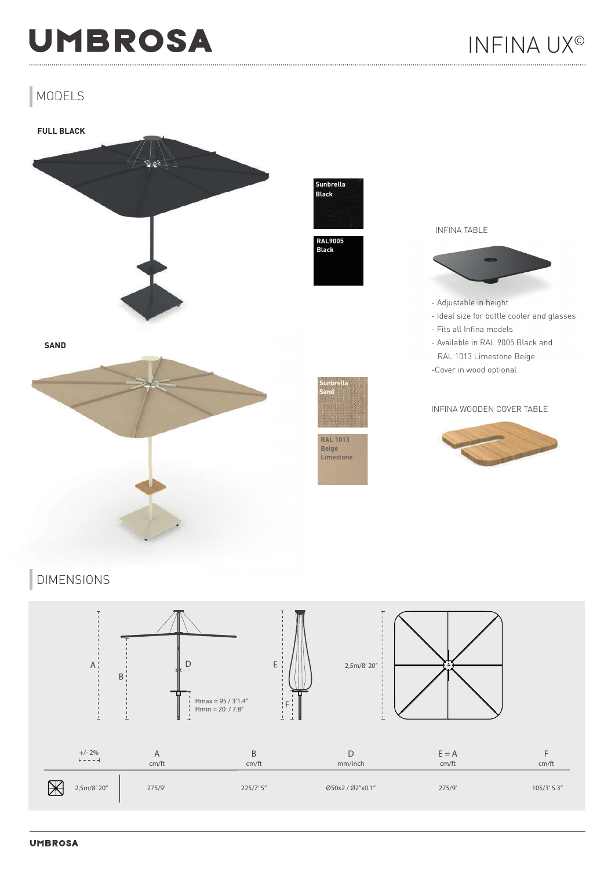## **UMBROSA**

### MODELS



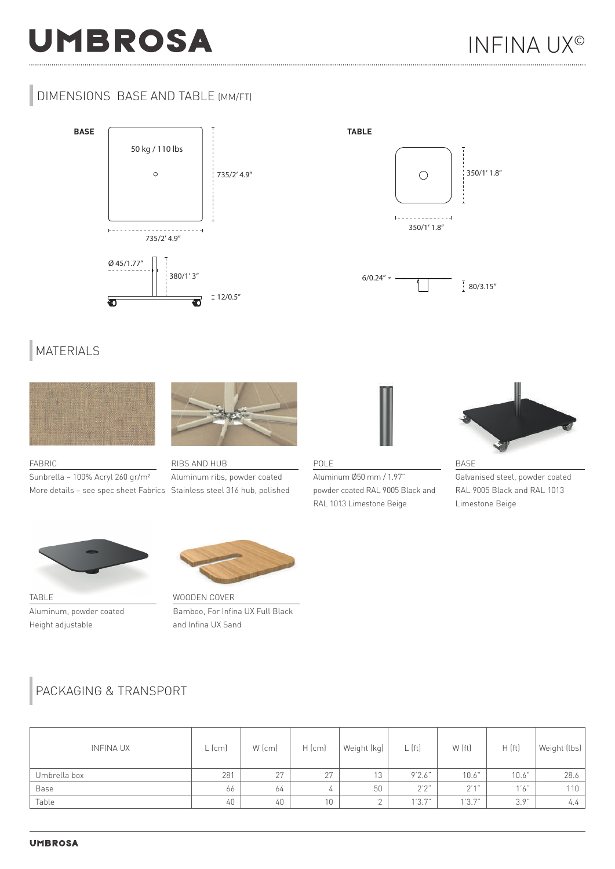# **UMBROSA**

#### DIMENSIONS BASE AND TABLE (MM/FT)





#### MATERIALS



FABRIC Sunbrella – 100% Acryl 260 gr/m²



More details – see spec sheet Fabrics Stainless steel 316 hub, polished RIBS AND HUB Aluminum ribs, powder coated



POLE Aluminum Ø50 mm / 1.97" powder coated RAL 9005 Black and RAL 1013 Limestone Beige



BASE Galvanised steel, powder coated RAL 9005 Black and RAL 1013 Limestone Beige



TABLE Aluminum, powder coated Height adjustable



Bamboo, For Infina UX Full Black and Infina UX Sand

#### PACKAGING & TRANSPORT

| <b>INFINA UX</b> | $L$ (cm) | $W$ (cm) | $H$ (cm)        | Weight (kg) | $L$ (ft) | W (ft)        | H(ft) | Weight (lbs) |
|------------------|----------|----------|-----------------|-------------|----------|---------------|-------|--------------|
| Umbrella box     | 281      | 27       | 27              | 13          | 9'2.6"   | 10.6"         | 10.6" | 28.6         |
| Base             | 66       | 64       | 4               | 50          | 2'2'     | $\cap$ ' 1 '' | 1'6"  | 110          |
| Table            | 40       | 40       | 10 <sup>°</sup> | $\sim$      | 1'3.7"   | 1'3.7"        | 3.9"  | 4.4          |